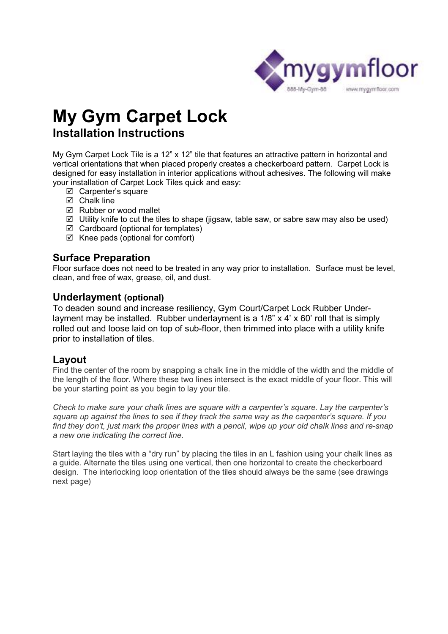

# **My Gym Carpet Lock Installation Instructions**

My Gym Carpet Lock Tile is a 12" x 12" tile that features an attractive pattern in horizontal and vertical orientations that when placed properly creates a checkerboard pattern. Carpet Lock is designed for easy installation in interior applications without adhesives. The following will make your installation of Carpet Lock Tiles quick and easy:

- $\boxtimes$  Carpenter's square
- $\boxtimes$  Chalk line
- $\boxtimes$  Rubber or wood mallet
- $\boxtimes$  Utility knife to cut the tiles to shape (jigsaw, table saw, or sabre saw may also be used)
- $\boxtimes$  Cardboard (optional for templates)
- $\boxtimes$  Knee pads (optional for comfort)

#### **Surface Preparation**

Floor surface does not need to be treated in any way prior to installation. Surface must be level, clean, and free of wax, grease, oil, and dust.

#### **Underlayment (optional)**

To deaden sound and increase resiliency, Gym Court/Carpet Lock Rubber Underlayment may be installed. Rubber underlayment is a 1/8" x 4' x 60' roll that is simply rolled out and loose laid on top of sub-floor, then trimmed into place with a utility knife prior to installation of tiles.

#### **Layout**

Find the center of the room by snapping a chalk line in the middle of the width and the middle of the length of the floor. Where these two lines intersect is the exact middle of your floor. This will be your starting point as you begin to lay your tile.

*Check to make sure your chalk lines are square with a carpenter's square. Lay the carpenter's square up against the lines to see if they track the same way as the carpenter's square. If you find they don't, just mark the proper lines with a pencil, wipe up your old chalk lines and re-snap a new one indicating the correct line.* 

Start laying the tiles with a "dry run" by placing the tiles in an L fashion using your chalk lines as a guide. Alternate the tiles using one vertical, then one horizontal to create the checkerboard design. The interlocking loop orientation of the tiles should always be the same (see drawings next page)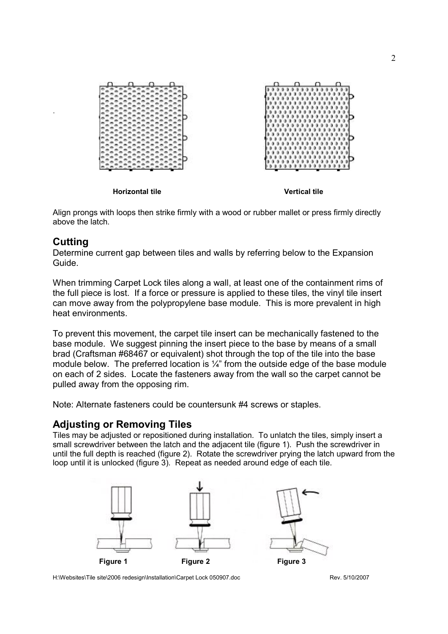

Align prongs with loops then strike firmly with a wood or rubber mallet or press firmly directly above the latch.

#### **Cutting**

.

Determine current gap between tiles and walls by referring below to the Expansion Guide.

When trimming Carpet Lock tiles along a wall, at least one of the containment rims of the full piece is lost. If a force or pressure is applied to these tiles, the vinyl tile insert can move away from the polypropylene base module. This is more prevalent in high heat environments.

To prevent this movement, the carpet tile insert can be mechanically fastened to the base module. We suggest pinning the insert piece to the base by means of a small brad (Craftsman #68467 or equivalent) shot through the top of the tile into the base module below. The preferred location is  $\frac{1}{4}$ " from the outside edge of the base module on each of 2 sides. Locate the fasteners away from the wall so the carpet cannot be pulled away from the opposing rim.

Note: Alternate fasteners could be countersunk #4 screws or staples.

#### **Adjusting or Removing Tiles**

Tiles may be adjusted or repositioned during installation. To unlatch the tiles, simply insert a small screwdriver between the latch and the adjacent tile (figure 1). Push the screwdriver in until the full depth is reached (figure 2). Rotate the screwdriver prying the latch upward from the loop until it is unlocked (figure 3). Repeat as needed around edge of each tile.



H:\Websites\Tile site\2006 redesign\Installation\Carpet Lock 050907.doc Rev. 5/10/2007